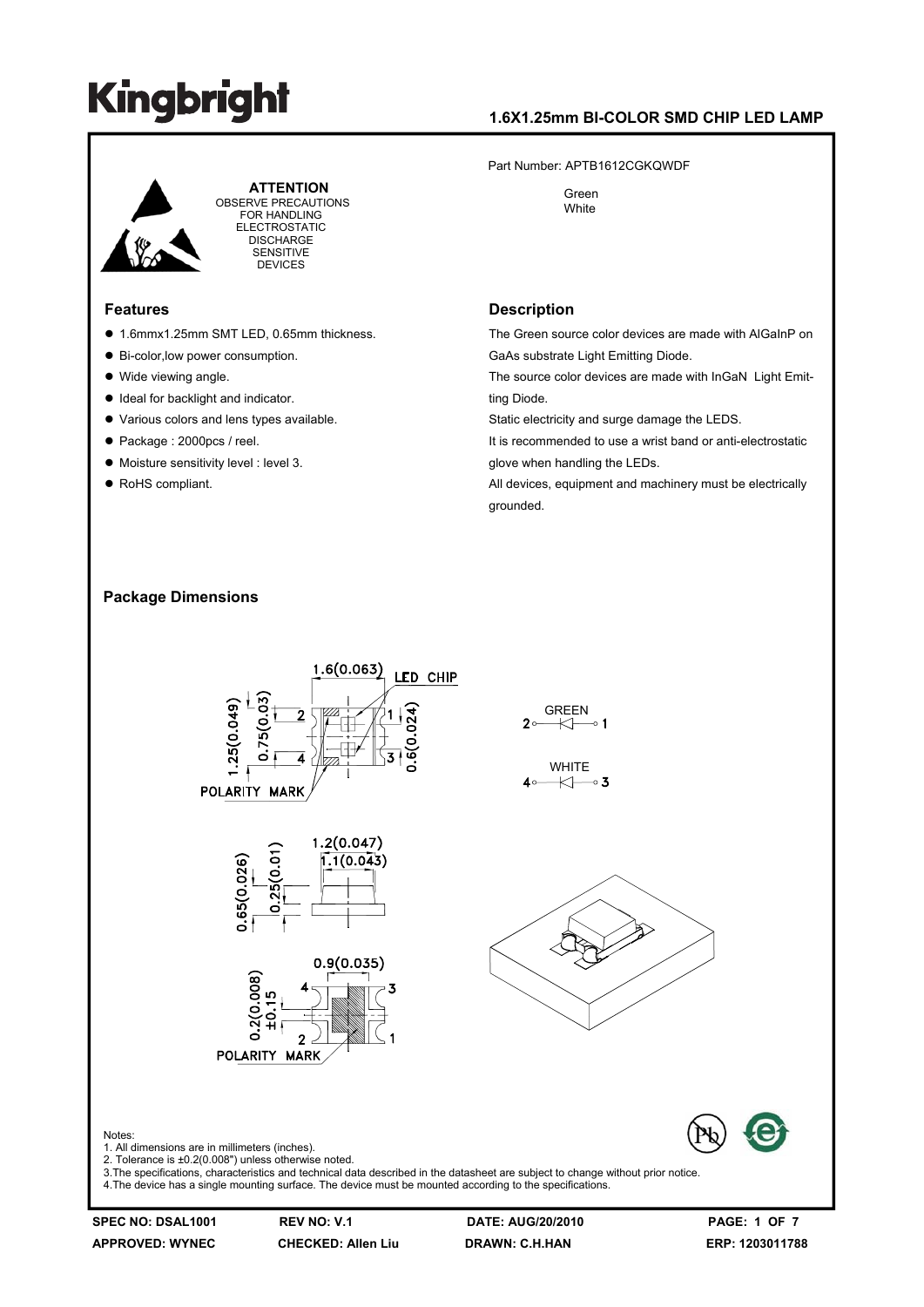### **1.6X1.25mm BI-COLOR SMD CHIP LED LAMP**

Part Number: APTB1612CGKQWDF

 Green **White** 



 **ATTENTION** OBSERVE PRECAUTIONS FOR HANDLING ELECTROSTATIC **DISCHARGE** SENSITIVE DEVICES

#### **Features**

- 1.6mmx1.25mm SMT LED, 0.65mm thickness.
- Bi-color, low power consumption.
- $\bullet$  Wide viewing angle.
- $\bullet$  Ideal for backlight and indicator.
- $\bullet$  Various colors and lens types available.
- Package : 2000pcs / reel.
- $\bullet$  Moisture sensitivity level : level 3.
- RoHS compliant.

#### **Description**

The Green source color devices are made with AlGaInP on GaAs substrate Light Emitting Diode.

The source color devices are made with InGaN Light Emitting Diode.

Static electricity and surge damage the LEDS.

It is recommended to use a wrist band or anti-electrostatic glove when handling the LEDs.

All devices, equipment and machinery must be electrically grounded.

#### **Package Dimensions**



3.The specifications, characteristics and technical data described in the datasheet are subject to change without prior notice. 4.The device has a single mounting surface. The device must be mounted according to the specifications.

**APPROVED: WYNEC CHECKED: Allen Liu DRAWN: C.H.HAN ERP: 1203011788** 

**SPEC NO: DSAL1001 REV NO: V.1 DATE: AUG/20/2010 PAGE: 1 OF 7**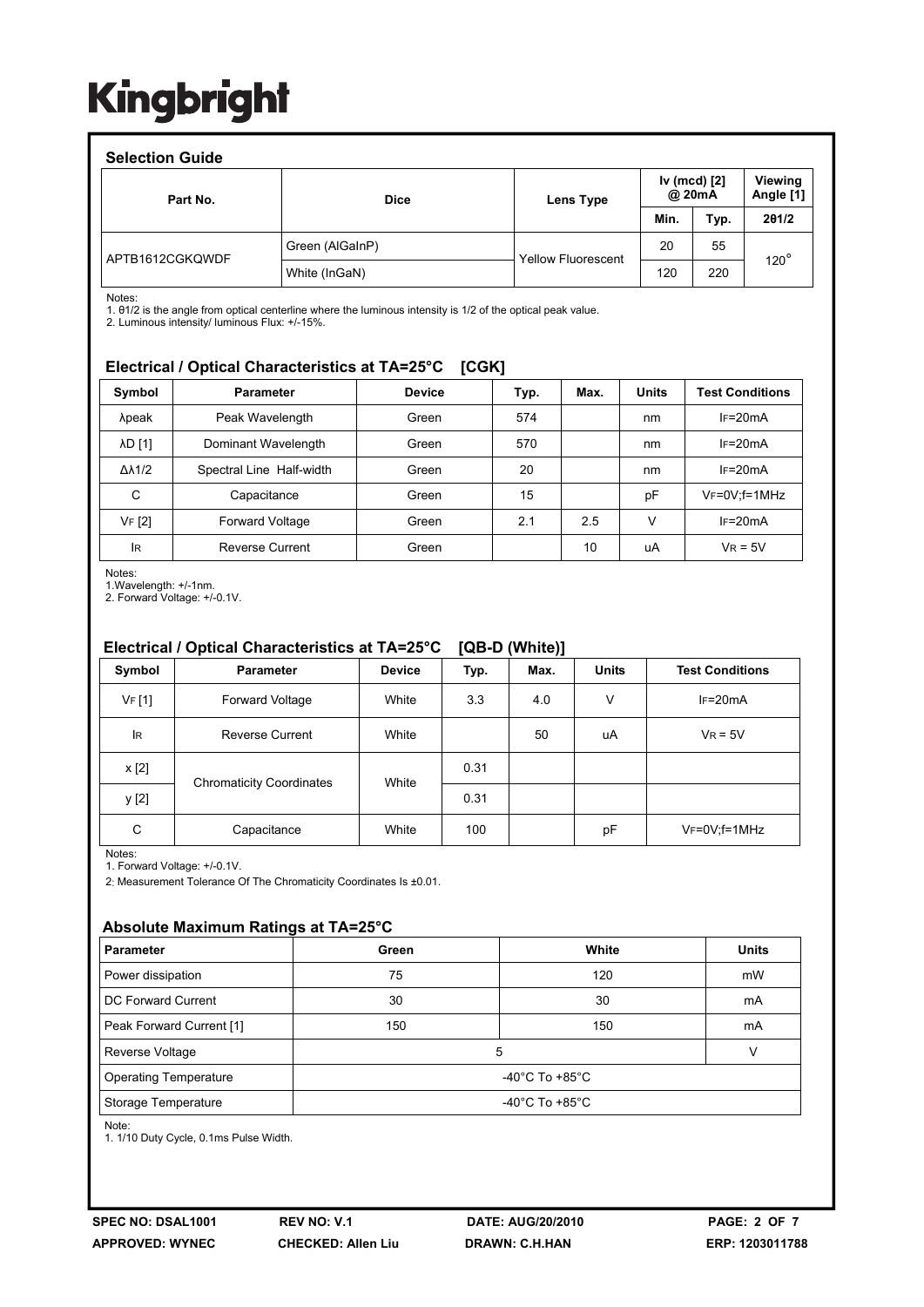| <b>Selection Guide</b> |                 |                           |                        |      |                      |  |  |
|------------------------|-----------------|---------------------------|------------------------|------|----------------------|--|--|
| Part No.               | <b>Dice</b>     | Lens Type                 | Iv (mcd) [2]<br>@ 20mA |      | Viewing<br>Angle [1] |  |  |
|                        |                 |                           | Min.                   | Typ. | 201/2                |  |  |
| APTB1612CGKQWDF        | Green (AlGaInP) |                           | 20                     | 55   | $120^\circ$          |  |  |
|                        | White (InGaN)   | <b>Yellow Fluorescent</b> | 120                    | 220  |                      |  |  |

Notes:

1. θ1/2 is the angle from optical centerline where the luminous intensity is 1/2 of the optical peak value.

2. Luminous intensity/ luminous Flux: +/-15%.

### **Electrical / Optical Characteristics at TA=25°C [CGK]**

| Symbol              | <b>Parameter</b>         | <b>Device</b> | Typ. | Max. | <b>Units</b> | <b>Test Conditions</b> |  |
|---------------------|--------------------------|---------------|------|------|--------------|------------------------|--|
| λpeak               | Peak Wavelength          | Green         | 574  |      | nm           | $IF=20mA$              |  |
| λD [1]              | Dominant Wavelength      | Green         | 570  |      | nm           | $IF=20mA$              |  |
| $\Delta\lambda$ 1/2 | Spectral Line Half-width | Green         | 20   |      | nm           | $IF=20mA$              |  |
| C                   | Capacitance              | Green         | 15   |      | рF           | $V_F = 0V$ ; f = 1MHz  |  |
| VF [2]              | Forward Voltage          | Green         | 2.1  | 2.5  | v            | $IF=20mA$              |  |
| <b>IR</b>           | <b>Reverse Current</b>   | Green         |      | 10   | uA           | $V_R = 5V$             |  |

Notes:

1.Wavelength: +/-1nm.

2. Forward Voltage: +/-0.1V.

### **Electrical / Optical Characteristics at TA=25°C [QB-D (White)]**

| Symbol    | <b>Parameter</b>                | <b>Device</b> | Typ. | Max. | <b>Units</b> | <b>Test Conditions</b> |
|-----------|---------------------------------|---------------|------|------|--------------|------------------------|
| VF[1]     | Forward Voltage                 | White         | 3.3  | 4.0  | v            | $IF=20mA$              |
| <b>IR</b> | <b>Reverse Current</b>          | White         |      | 50   | uA           | $V_R = 5V$             |
| x [2]     |                                 |               | 0.31 |      |              |                        |
| y [2]     | <b>Chromaticity Coordinates</b> | White         | 0.31 |      |              |                        |
| C         | Capacitance                     | White         | 100  |      | pF           | VF=0V;f=1MHz           |

Notes:

1. Forward Voltage: +/-0.1V.

2: Measurement Tolerance Of The Chromaticity Coordinates Is ±0.01.

#### **Absolute Maximum Ratings at TA=25°C**

| <b>Parameter</b>             | White<br>Green                       |     | <b>Units</b> |  |  |
|------------------------------|--------------------------------------|-----|--------------|--|--|
| Power dissipation            | 75                                   | 120 | mW           |  |  |
| DC Forward Current           | 30                                   | 30  | mA           |  |  |
| Peak Forward Current [1]     | 150                                  | 150 | mA           |  |  |
| Reverse Voltage              | 5                                    |     |              |  |  |
| <b>Operating Temperature</b> | -40 $^{\circ}$ C To +85 $^{\circ}$ C |     |              |  |  |
| Storage Temperature          | -40 $^{\circ}$ C To +85 $^{\circ}$ C |     |              |  |  |

Note:

1. 1/10 Duty Cycle, 0.1ms Pulse Width.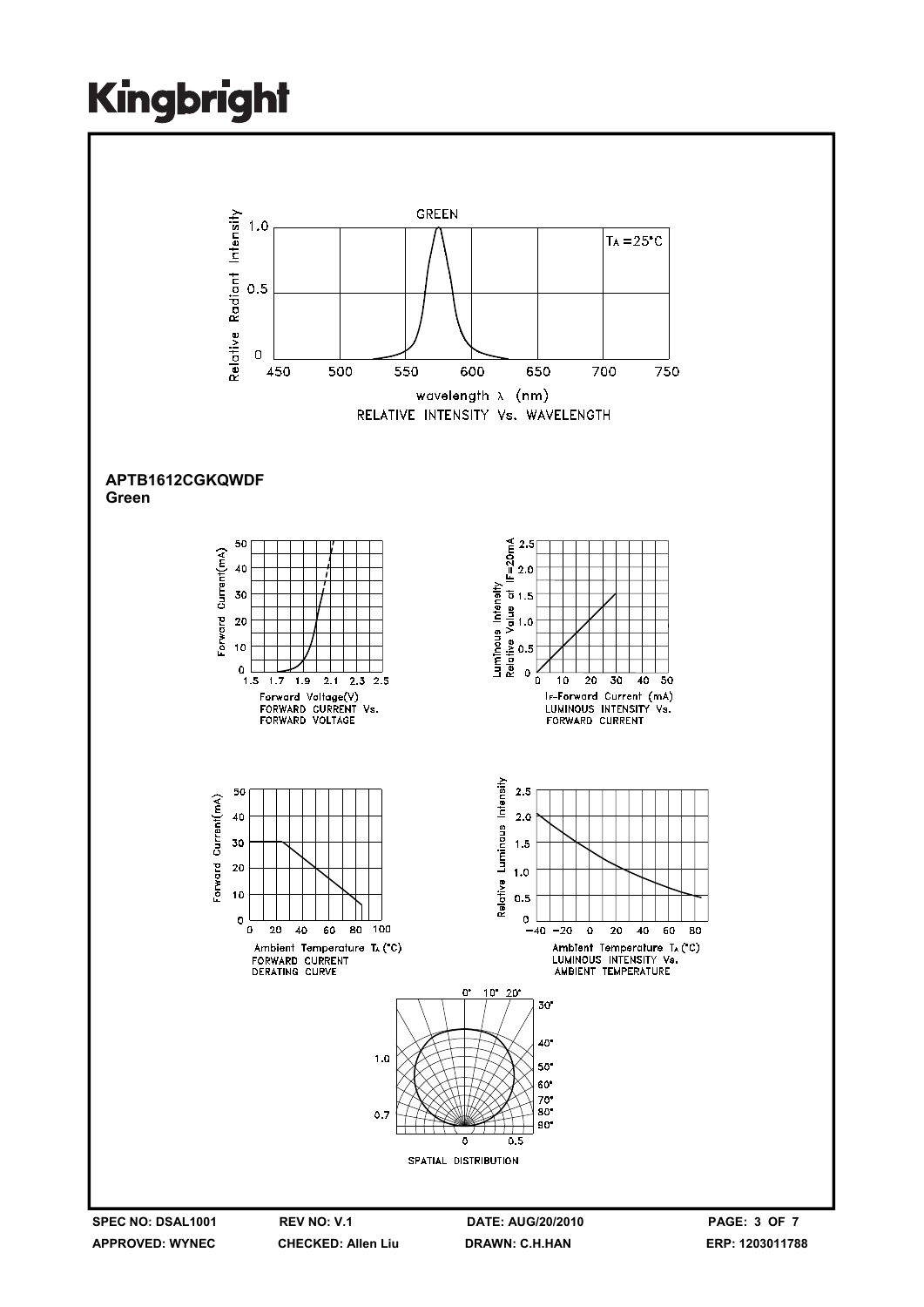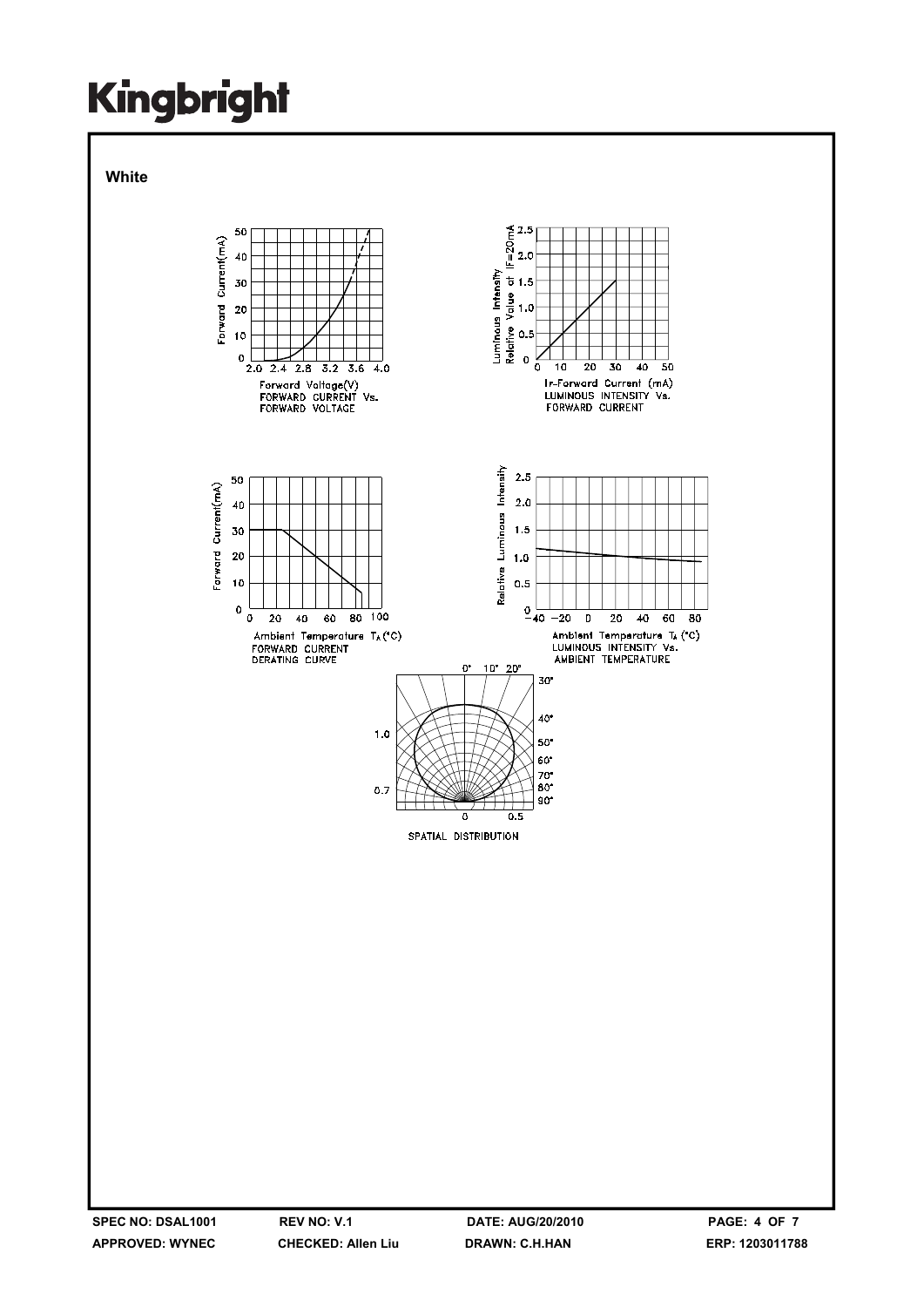**White** 

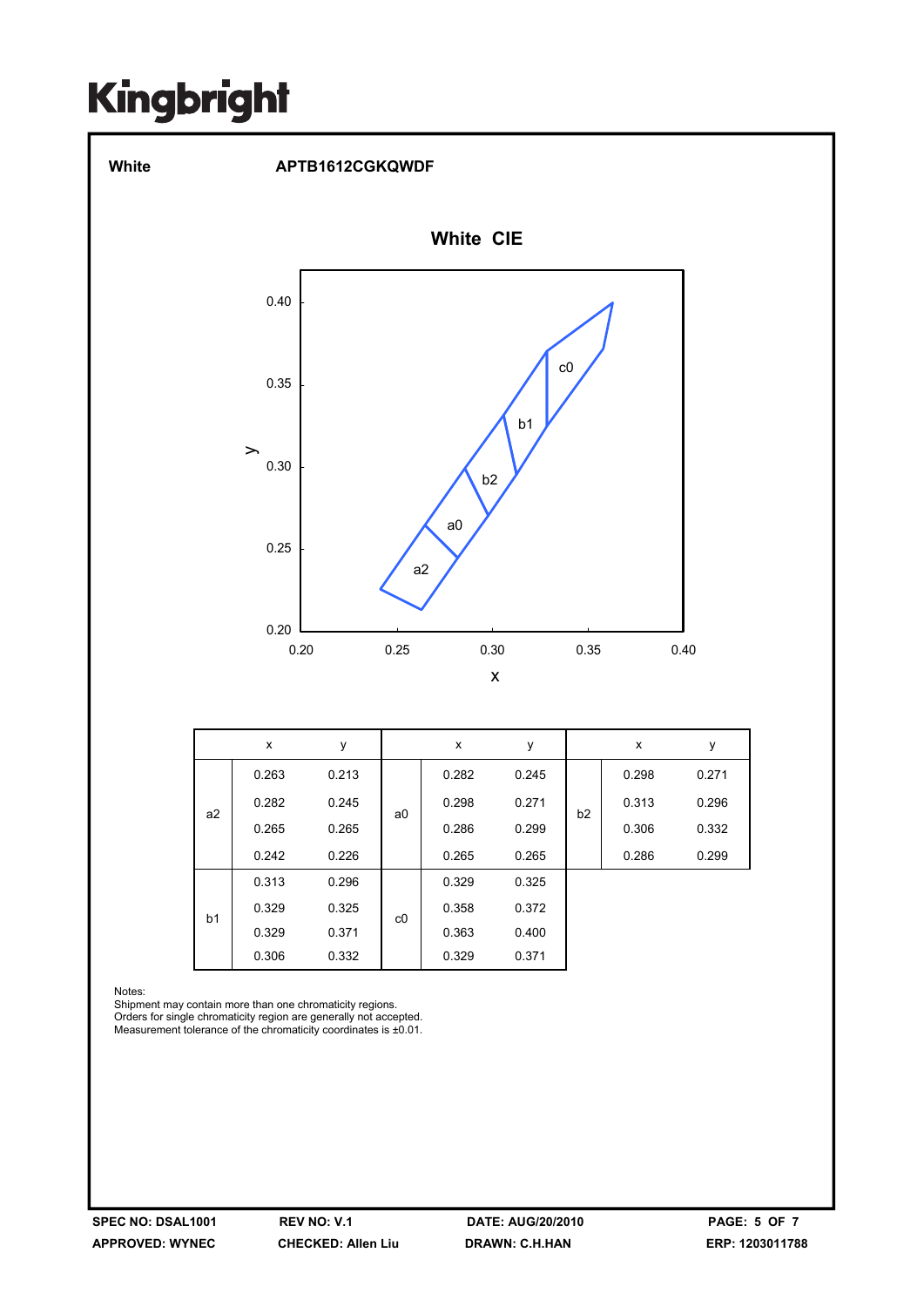

Notes:

Shipment may contain more than one chromaticity regions. Orders for single chromaticity region are generally not accepted. Measurement tolerance of the chromaticity coordinates is ±0.01.

b1

c0

0.329 0.325 0.358 0.372 0.329 0.371 0.363 0.400 0.306 0.332 0.329 0.371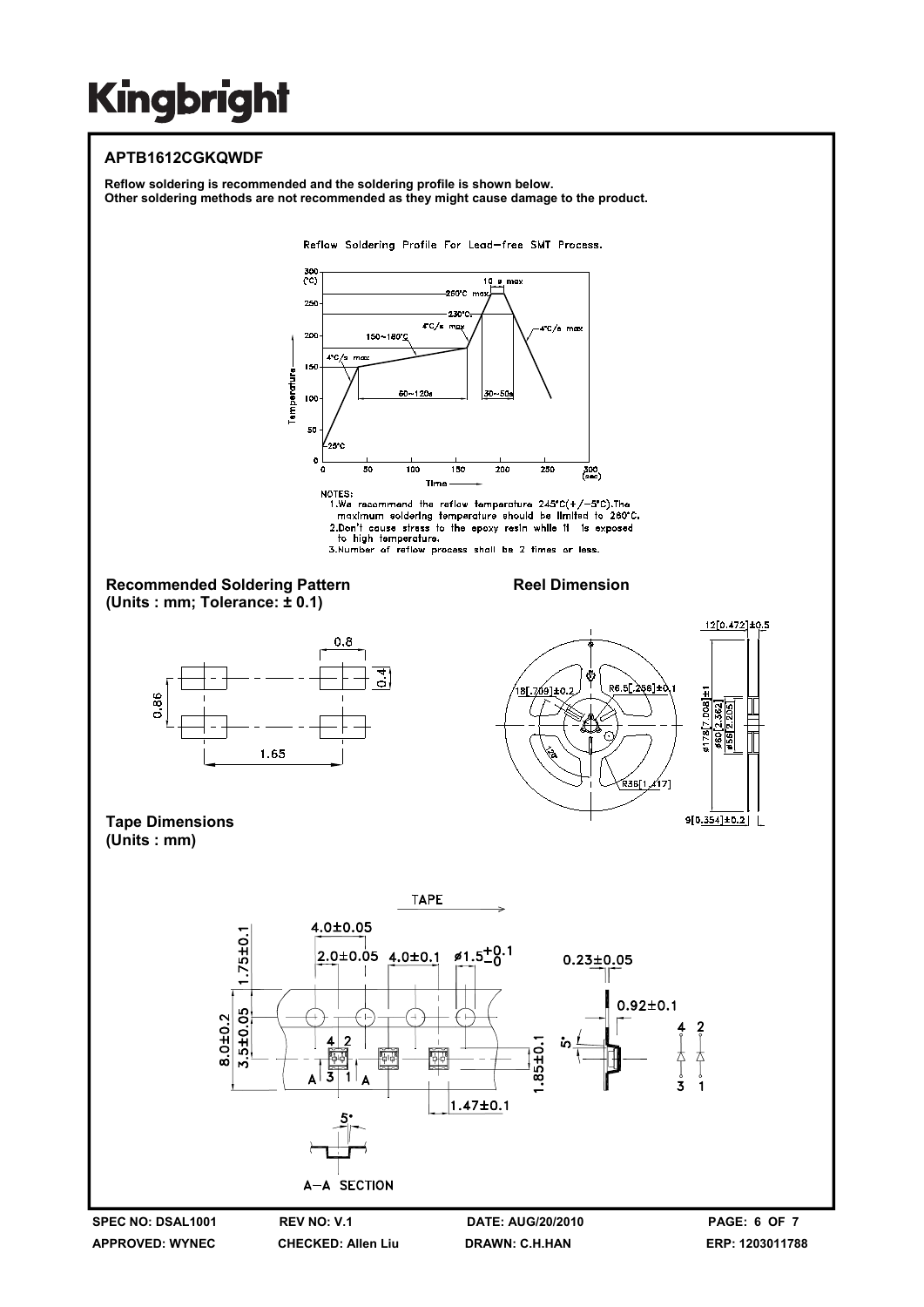### **APTB1612CGKQWDF**

**Reflow soldering is recommended and the soldering profile is shown below. Other soldering methods are not recommended as they might cause damage to the product.** 

Reflow Soldering Profile For Lead-free SMT Process.



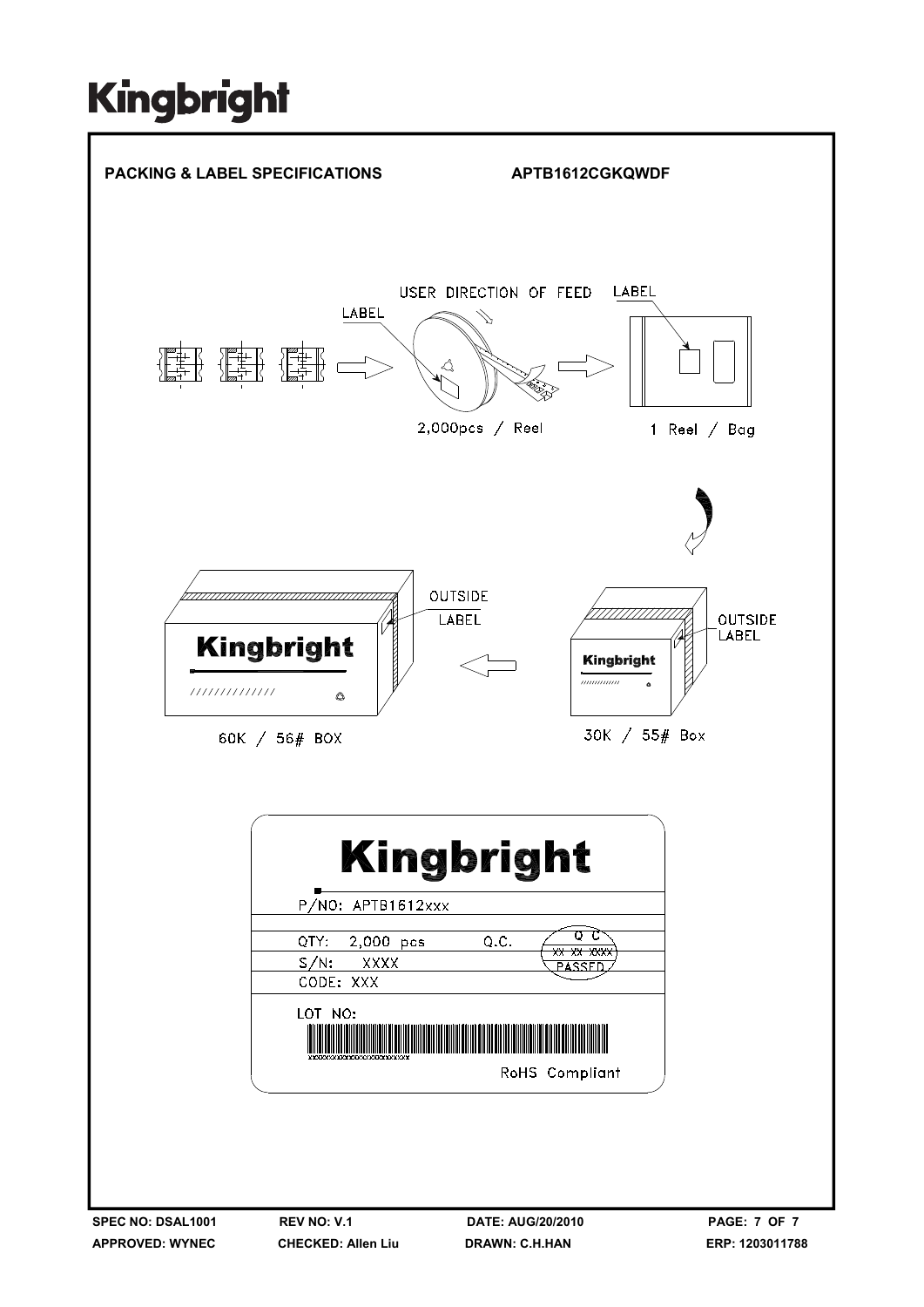